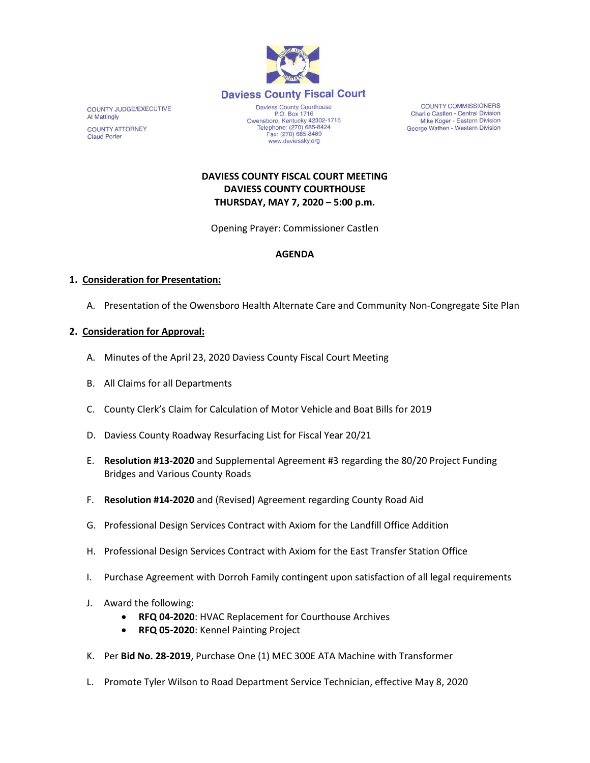

COUNTY JUDGE/EXECUTIVE **Al Mattingly COUNTY ATTORNEY Claud Porter** 

P.O. Box 1716 P.O. Box 1716<br>Owensboro, Kentucky 42302-1716<br>Telephone: (270) 685-8424 Fax: (270) 685-8469 www.daviessky.org

**COUNTY COMMISSIONERS** Charlie Castlen - Central Division Mike Koger - Eastern Division George Wathen - Western Division

# **DAVIESS COUNTY FISCAL COURT MEETING DAVIESS COUNTY COURTHOUSE THURSDAY, MAY 7, 2020 – 5:00 p.m.**

Opening Prayer: Commissioner Castlen

### **AGENDA**

### **1. Consideration for Presentation:**

A. Presentation of the Owensboro Health Alternate Care and Community Non-Congregate Site Plan

# **2. Consideration for Approval:**

- A. Minutes of the April 23, 2020 Daviess County Fiscal Court Meeting
- B. All Claims for all Departments
- C. County Clerk's Claim for Calculation of Motor Vehicle and Boat Bills for 2019
- D. Daviess County Roadway Resurfacing List for Fiscal Year 20/21
- E. **Resolution #13-2020** and Supplemental Agreement #3 regarding the 80/20 Project Funding Bridges and Various County Roads
- F. **Resolution #14-2020** and (Revised) Agreement regarding County Road Aid
- G. Professional Design Services Contract with Axiom for the Landfill Office Addition
- H. Professional Design Services Contract with Axiom for the East Transfer Station Office
- I. Purchase Agreement with Dorroh Family contingent upon satisfaction of all legal requirements
- J. Award the following:
	- **RFQ 04-2020**: HVAC Replacement for Courthouse Archives
	- **RFQ 05-2020**: Kennel Painting Project
- K. Per **Bid No. 28-2019**, Purchase One (1) MEC 300E ATA Machine with Transformer
- L. Promote Tyler Wilson to Road Department Service Technician, effective May 8, 2020